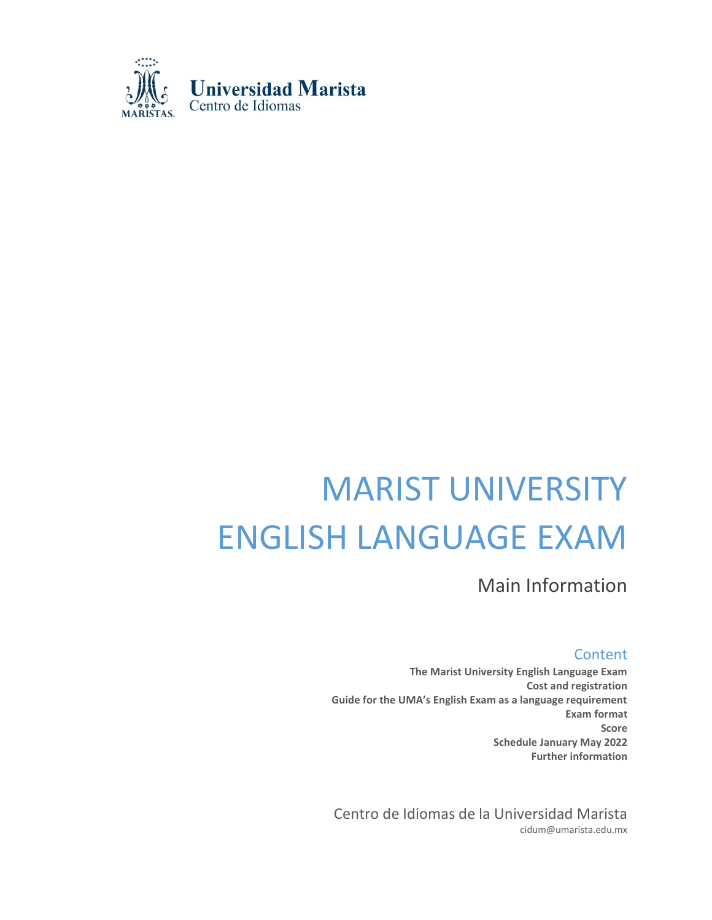

# MARIST UNIVERSITY ENGLISH LANGUAGE EXAM

Main Information

**Content** 

**The Marist University English Language Exam Cost and registration Guide for the UMA's English Exam as a language requirement Exam format Score Schedule January May 2022 Further information**

Centro de Idiomas de la Universidad Marista cidum@umarista.edu.mx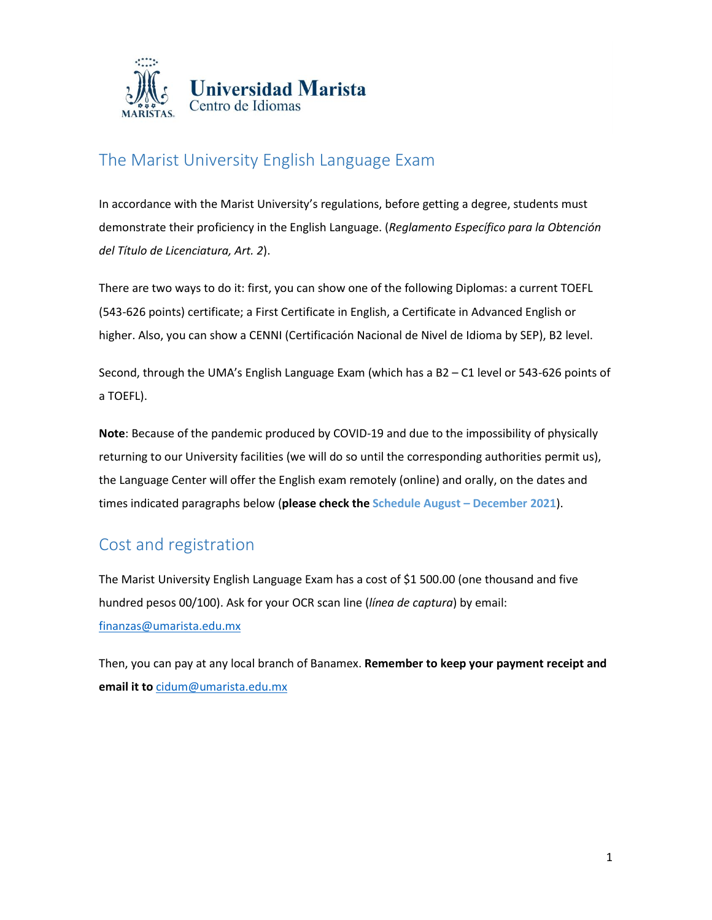

# The Marist University English Language Exam

In accordance with the Marist University's regulations, before getting a degree, students must demonstrate their proficiency in the English Language. (*Reglamento Específico para la Obtención del Título de Licenciatura, Art. 2*).

There are two ways to do it: first, you can show one of the following Diplomas: a current TOEFL (543-626 points) certificate; a First Certificate in English, a Certificate in Advanced English or higher. Also, you can show a CENNI (Certificación Nacional de Nivel de Idioma by SEP), B2 level.

Second, through the UMA's English Language Exam (which has a B2 – C1 level or 543-626 points of a TOEFL).

**Note**: Because of the pandemic produced by COVID-19 and due to the impossibility of physically returning to our University facilities (we will do so until the corresponding authorities permit us), the Language Center will offer the English exam remotely (online) and orally, on the dates and times indicated paragraphs below (**please check the Schedule August – December 2021**).

# Cost and registration

The Marist University English Language Exam has a cost of \$1 500.00 (one thousand and five hundred pesos 00/100). Ask for your OCR scan line (*línea de captura*) by email: [finanzas@umarista.edu.mx](mailto:finanzas@umarista.edu.mx)

Then, you can pay at any local branch of Banamex. **Remember to keep your payment receipt and email it to** [cidum@umarista.edu.mx](mailto:cidum@umarista.edu.mx)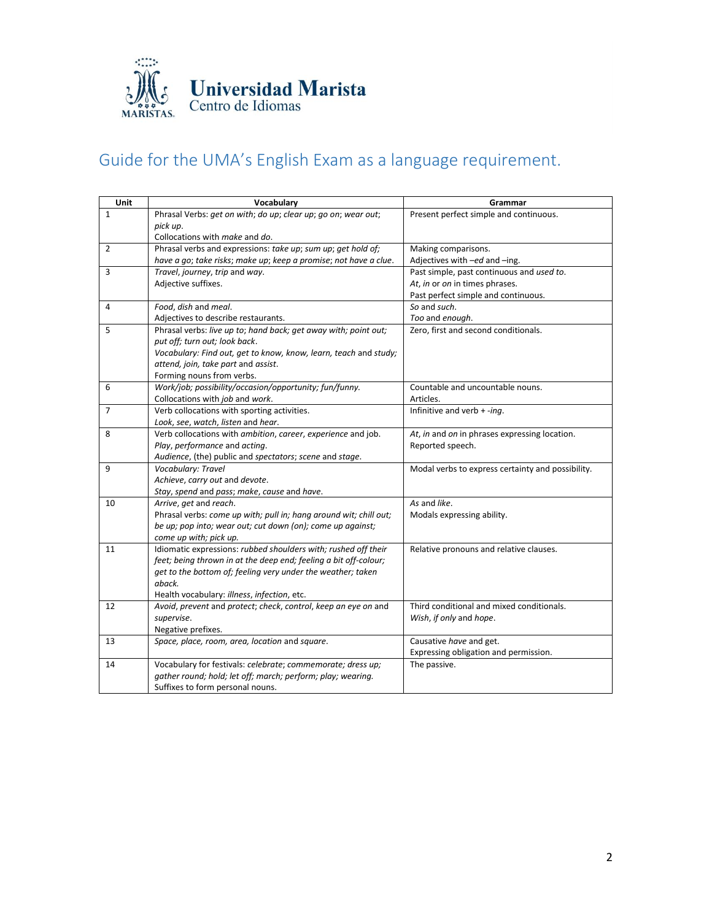

# Guide for the UMA's English Exam as a language requirement.

| Unit         | Vocabulary                                                        | Grammar                                           |
|--------------|-------------------------------------------------------------------|---------------------------------------------------|
| $\mathbf{1}$ | Phrasal Verbs: get on with; do up; clear up; go on; wear out;     | Present perfect simple and continuous.            |
|              | pick up.                                                          |                                                   |
|              | Collocations with <i>make</i> and do.                             |                                                   |
| 2            | Phrasal verbs and expressions: take up; sum up; get hold of;      | Making comparisons.                               |
|              | have a go; take risks; make up; keep a promise; not have a clue.  | Adjectives with -ed and -ing.                     |
| 3            | Travel, journey, trip and way.                                    | Past simple, past continuous and used to.         |
|              | Adjective suffixes.                                               | At, in or on in times phrases.                    |
|              |                                                                   | Past perfect simple and continuous.               |
| 4            | Food, dish and meal.                                              | So and such.                                      |
|              | Adjectives to describe restaurants.                               | Too and enough.                                   |
| 5            | Phrasal verbs: live up to; hand back; get away with; point out;   | Zero, first and second conditionals.              |
|              | put off; turn out; look back.                                     |                                                   |
|              | Vocabulary: Find out, get to know, know, learn, teach and study;  |                                                   |
|              | attend, join, take part and assist.                               |                                                   |
|              | Forming nouns from verbs.                                         |                                                   |
| 6            | Work/job; possibility/occasion/opportunity; fun/funny.            | Countable and uncountable nouns.                  |
|              | Collocations with job and work.                                   | Articles.                                         |
| 7            | Verb collocations with sporting activities.                       | Infinitive and verb $+$ -ing.                     |
|              | Look, see, watch, listen and hear.                                |                                                   |
| 8            | Verb collocations with ambition, career, experience and job.      | At, in and on in phrases expressing location.     |
|              | Play, performance and acting.                                     | Reported speech.                                  |
|              | Audience, (the) public and spectators; scene and stage.           |                                                   |
| 9            | Vocabulary: Travel                                                | Modal verbs to express certainty and possibility. |
|              | Achieve, carry out and devote.                                    |                                                   |
|              | Stay, spend and pass; make, cause and have.                       |                                                   |
| 10           | Arrive, get and reach.                                            | As and like.                                      |
|              | Phrasal verbs: come up with; pull in; hang around wit; chill out; | Modals expressing ability.                        |
|              | be up; pop into; wear out; cut down (on); come up against;        |                                                   |
|              | come up with; pick up.                                            |                                                   |
| 11           | Idiomatic expressions: rubbed shoulders with; rushed off their    | Relative pronouns and relative clauses.           |
|              | feet; being thrown in at the deep end; feeling a bit off-colour;  |                                                   |
|              | get to the bottom of; feeling very under the weather; taken       |                                                   |
|              | aback.                                                            |                                                   |
|              | Health vocabulary: illness, infection, etc.                       |                                                   |
| 12           | Avoid, prevent and protect; check, control, keep an eye on and    | Third conditional and mixed conditionals.         |
|              | supervise.                                                        | Wish, if only and hope.                           |
|              | Negative prefixes.                                                |                                                   |
| 13           | Space, place, room, area, location and square.                    | Causative have and get.                           |
|              |                                                                   | Expressing obligation and permission.             |
| 14           | Vocabulary for festivals: celebrate; commemorate; dress up;       | The passive.                                      |
|              | gather round; hold; let off; march; perform; play; wearing.       |                                                   |
|              | Suffixes to form personal nouns.                                  |                                                   |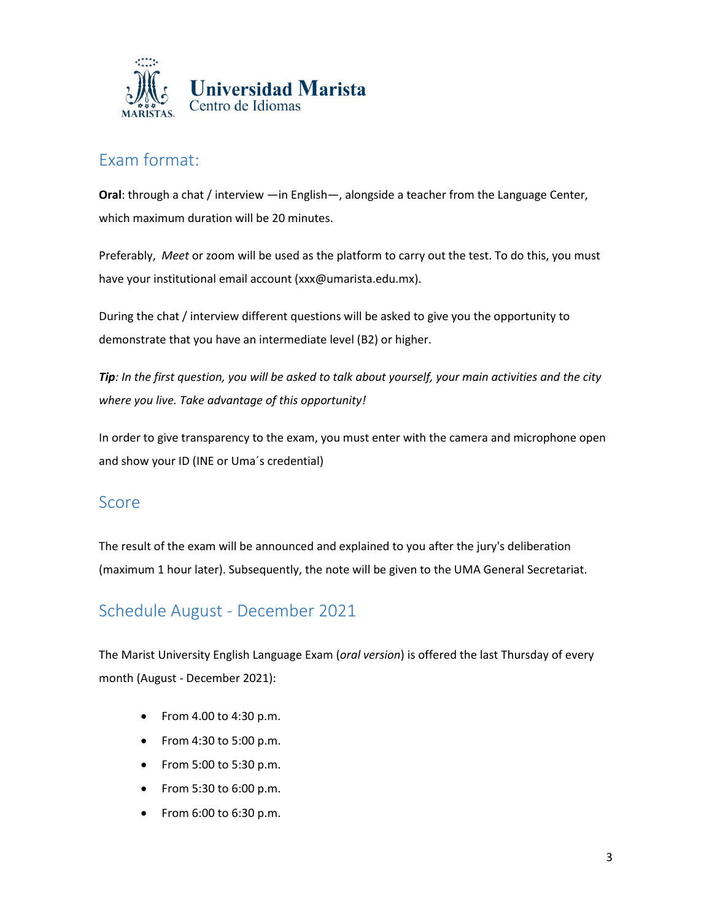

### Exam format:

**Oral**: through a chat / interview —in English—, alongside a teacher from the Language Center, which maximum duration will be 20 minutes.

Preferably, *Meet* or zoom will be used as the platform to carry out the test. To do this, you must have your institutional email account (xxx@umarista.edu.mx).

During the chat / interview different questions will be asked to give you the opportunity to demonstrate that you have an intermediate level (B2) or higher.

*Tip: In the first question, you will be asked to talk about yourself, your main activities and the city where you live. Take advantage of this opportunity!*

In order to give transparency to the exam, you must enter with the camera and microphone open and show your ID (INE or Uma´s credential)

#### Score

The result of the exam will be announced and explained to you after the jury's deliberation (maximum 1 hour later). Subsequently, the note will be given to the UMA General Secretariat.

# Schedule August - December 2021

The Marist University English Language Exam (*oral version*) is offered the last Thursday of every month (August - December 2021):

- From 4.00 to 4:30 p.m.
- From 4:30 to 5:00 p.m.
- From 5:00 to 5:30 p.m.
- From 5:30 to 6:00 p.m.
- From 6:00 to 6:30 p.m.